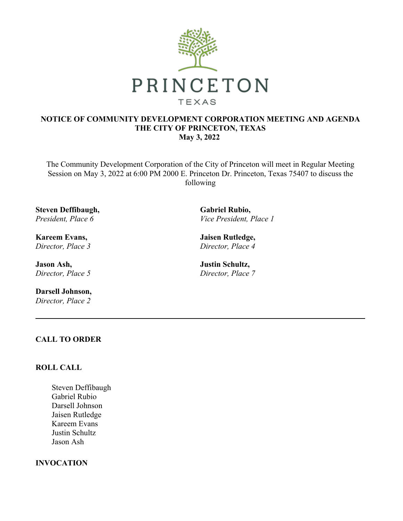

# **NOTICE OF COMMUNITY DEVELOPMENT CORPORATION MEETING AND AGENDA THE CITY OF PRINCETON, TEXAS May 3, 2022**

The Community Development Corporation of the City of Princeton will meet in Regular Meeting Session on May 3, 2022 at 6:00 PM 2000 E. Princeton Dr. Princeton, Texas 75407 to discuss the following

**Steven Deffibaugh,** *President, Place 6*

**Kareem Evans,** *Director, Place 3*

**Jason Ash,** *Director, Place 5*

**Darsell Johnson,** *Director, Place 2*

**Gabriel Rubio,** *Vice President, Place 1*

**Jaisen Rutledge,** *Director, Place 4*

**Justin Schultz,** *Director, Place 7*

# **CALL TO ORDER**

# **ROLL CALL**

Steven Deffibaugh Gabriel Rubio Darsell Johnson Jaisen Rutledge Kareem Evans Justin Schultz Jason Ash

## **INVOCATION**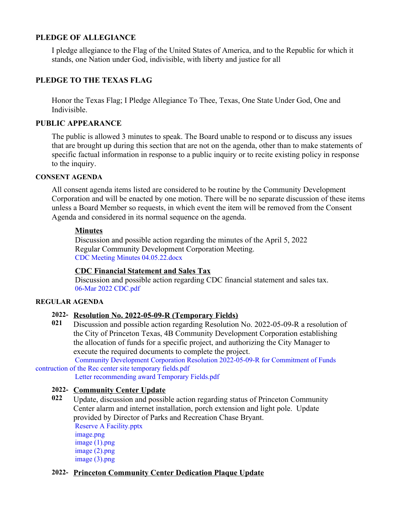# **PLEDGE OF ALLEGIANCE**

I pledge allegiance to the Flag of the United States of America, and to the Republic for which it stands, one Nation under God, indivisible, with liberty and justice for all

# **PLEDGE TO THE TEXAS FLAG**

Honor the Texas Flag; I Pledge Allegiance To Thee, Texas, One State Under God, One and Indivisible.

# **PUBLIC APPEARANCE**

The public is allowed 3 minutes to speak. The Board unable to respond or to discuss any issues that are brought up during this section that are not on the agenda, other than to make statements of specific factual information in response to a public inquiry or to recite existing policy in response to the inquiry.

#### **CONSENT AGENDA**

All consent agenda items listed are considered to be routine by the Community Development Corporation and will be enacted by one motion. There will be no separate discussion of these items unless a Board Member so requests, in which event the item will be removed from the Consent Agenda and considered in its normal sequence on the agenda.

### **Minutes**

Discussion and possible action regarding the minutes of the April 5, 2022 Regular Community Development Corporation Meeting. CDC Meeting Minutes [04.05.22.docx](https://legistarweb-production.s3.amazonaws.com/uploads/attachment/pdf/1350332/CDC_Meeting_Minutes_04.05.22.pdf)

#### **CDC Financial Statement and Sales Tax**

Discussion and possible action regarding CDC financial statement and sales tax. 06-Mar 2022 [CDC.pdf](https://legistarweb-production.s3.amazonaws.com/uploads/attachment/pdf/1341240/06-Mar_2022_CDC.pdf)

#### **REGULAR AGENDA**

#### **2022- Resolution No. 2022-05-09-R (Temporary Fields)**

**021** Discussion and possible action regarding Resolution No. 2022-05-09-R a resolution of the City of Princeton Texas, 4B Community Development Corporation establishing the allocation of funds for a specific project, and authorizing the City Manager to execute the required documents to complete the project.

Community Development Corporation Resolution [2022-05-09-R](https://legistarweb-production.s3.amazonaws.com/uploads/attachment/pdf/1355720/Community_Development_Corporation_Resolution_2022-05-09-R_for_Commitment_of_Funds_contruction_of_the_Rec_center_site_temporary_fields.pdf) for Commitment of Funds contruction of the Rec center site temporary fields.pdf

Letter [recommending](https://legistarweb-production.s3.amazonaws.com/uploads/attachment/pdf/1355721/Letter_recommending_award_Temporary_Fields.pdf) award Temporary Fields.pdf

## **2022- Community Center Update**

**022** Update, discussion and possible action regarding status of Princeton Community Center alarm and internet installation, porch extension and light pole. Update provided by Director of Parks and Recreation Chase Bryant. Reserve A [Facility.pptx](https://legistarweb-production.s3.amazonaws.com/uploads/attachment/pdf/1352387/Reserve_A_Facility.pdf) [image.png](https://legistarweb-production.s3.amazonaws.com/uploads/attachment/pdf/1353992/image.pdf) image [\(1\).png](https://legistarweb-production.s3.amazonaws.com/uploads/attachment/pdf/1353993/image__1_.pdf) image [\(2\).png](https://legistarweb-production.s3.amazonaws.com/uploads/attachment/pdf/1353994/image__2_.pdf) image [\(3\).png](https://legistarweb-production.s3.amazonaws.com/uploads/attachment/pdf/1353995/image__3_.pdf)

#### **2022- Princeton Community Center Dedication Plaque Update**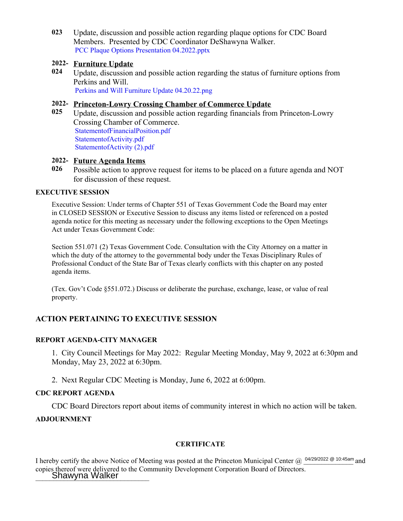**023** Update, discussion and possible action regarding plaque options for CDC Board Members. Presented by CDC Coordinator DeShawyna Walker. PCC Plaque Options Presentation [04.2022.pptx](https://legistarweb-production.s3.amazonaws.com/uploads/attachment/pdf/1351294/PCC_Plaque_Options_Presentation_04.2022.pdf)

## **2022- Furniture Update**

**024** Update, discussion and possible action regarding the status of furniture options from Perkins and Will. Perkins and Will Furniture Update [04.20.22.png](https://legistarweb-production.s3.amazonaws.com/uploads/attachment/pdf/1350335/Perkins_and_Will_Furniture_Update_04.20.22.pdf)

## **2022- Princeton-Lowry Crossing Chamber of Commerce Update**

**025** Update, discussion and possible action regarding financials from Princeton-Lowry Crossing Chamber of Commerce. [StatementofFinancialPosition.pdf](https://legistarweb-production.s3.amazonaws.com/uploads/attachment/pdf/1318221/StatementofFinancialPosition.pdf) [StatementofActivity.pdf](https://legistarweb-production.s3.amazonaws.com/uploads/attachment/pdf/1318222/StatementofActivity.pdf) [StatementofActivity](https://legistarweb-production.s3.amazonaws.com/uploads/attachment/pdf/1350345/StatementofActivity__2_.pdf) (2).pdf

## **2022- Future Agenda Items**

**026** Possible action to approve request for items to be placed on a future agenda and NOT for discussion of these request.

#### **EXECUTIVE SESSION**

Executive Session: Under terms of Chapter 551 of Texas Government Code the Board may enter in CLOSED SESSION or Executive Session to discuss any items listed or referenced on a posted agenda notice for this meeting as necessary under the following exceptions to the Open Meetings Act under Texas Government Code:

Section 551.071 (2) Texas Government Code. Consultation with the City Attorney on a matter in which the duty of the attorney to the governmental body under the Texas Disciplinary Rules of Professional Conduct of the State Bar of Texas clearly conflicts with this chapter on any posted agenda items.

(Tex. Gov't Code §551.072.) Discuss or deliberate the purchase, exchange, lease, or value of real property.

# **ACTION PERTAINING TO EXECUTIVE SESSION**

#### **REPORT AGENDA-CITY MANAGER**

1. City Council Meetings for May 2022: Regular Meeting Monday, May 9, 2022 at 6:30pm and Monday, May 23, 2022 at 6:30pm.

2. Next Regular CDC Meeting is Monday, June 6, 2022 at 6:00pm.

#### **CDC REPORT AGENDA**

CDC Board Directors report about items of community interest in which no action will be taken.

## **ADJOURNMENT**

#### **CERTIFICATE**

I hereby certify the above Notice of Meeting was posted at the Princeton Municipal Center  $@$  <sup>04/29/2022 @ 10:45am</sup> and copies thereof were delivered to the Community Development Corporation Board of Directors. **Shawyna Walker**